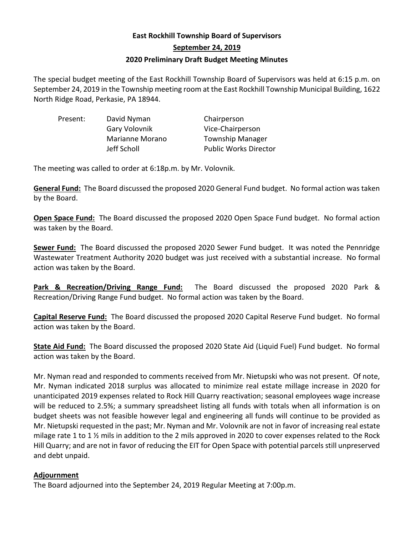## **East Rockhill Township Board of Supervisors September 24, 2019 2020 Preliminary Draft Budget Meeting Minutes**

The special budget meeting of the East Rockhill Township Board of Supervisors was held at 6:15 p.m. on September 24, 2019 in the Township meeting room at the East Rockhill Township Municipal Building, 1622 North Ridge Road, Perkasie, PA 18944.

| David Nyman            | Chairperson                  |
|------------------------|------------------------------|
| Gary Volovnik          | Vice-Chairperson             |
| <b>Marianne Morano</b> | <b>Township Manager</b>      |
| Jeff Scholl            | <b>Public Works Director</b> |
|                        |                              |

The meeting was called to order at 6:18p.m. by Mr. Volovnik.

**General Fund:** The Board discussed the proposed 2020 General Fund budget. No formal action was taken by the Board.

**Open Space Fund:** The Board discussed the proposed 2020 Open Space Fund budget. No formal action was taken by the Board.

**Sewer Fund:** The Board discussed the proposed 2020 Sewer Fund budget. It was noted the Pennridge Wastewater Treatment Authority 2020 budget was just received with a substantial increase. No formal action was taken by the Board.

**Park & Recreation/Driving Range Fund:** The Board discussed the proposed 2020 Park & Recreation/Driving Range Fund budget. No formal action was taken by the Board.

**Capital Reserve Fund:** The Board discussed the proposed 2020 Capital Reserve Fund budget. No formal action was taken by the Board.

**State Aid Fund:** The Board discussed the proposed 2020 State Aid (Liquid Fuel) Fund budget. No formal action was taken by the Board.

Mr. Nyman read and responded to comments received from Mr. Nietupski who was not present. Of note, Mr. Nyman indicated 2018 surplus was allocated to minimize real estate millage increase in 2020 for unanticipated 2019 expenses related to Rock Hill Quarry reactivation; seasonal employees wage increase will be reduced to 2.5%; a summary spreadsheet listing all funds with totals when all information is on budget sheets was not feasible however legal and engineering all funds will continue to be provided as Mr. Nietupski requested in the past; Mr. Nyman and Mr. Volovnik are not in favor of increasing real estate milage rate 1 to 1 ½ mils in addition to the 2 mils approved in 2020 to cover expenses related to the Rock Hill Quarry; and are not in favor of reducing the EIT for Open Space with potential parcels still unpreserved and debt unpaid.

## **Adjournment**

The Board adjourned into the September 24, 2019 Regular Meeting at 7:00p.m.